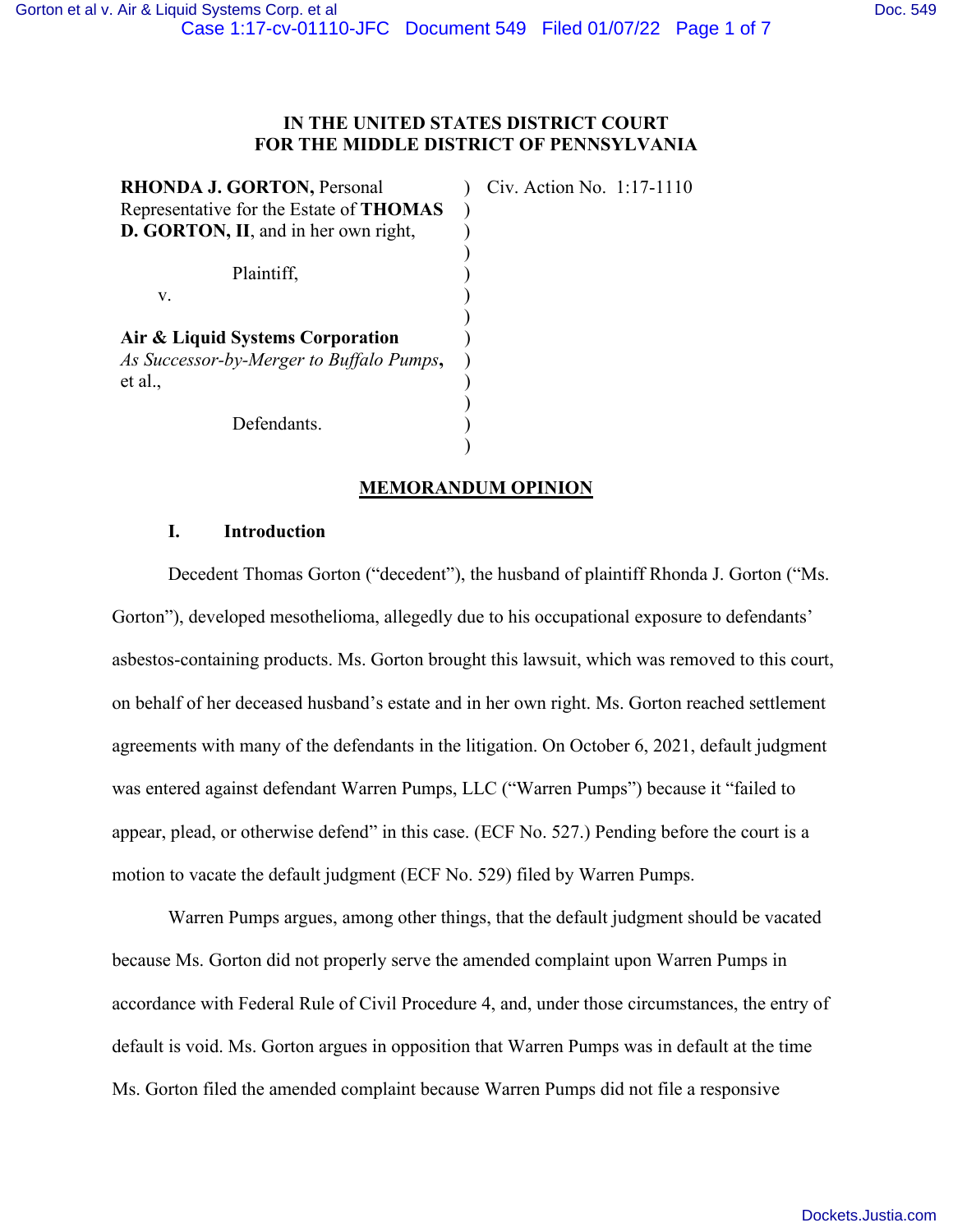# **IN THE UNITED STATES DISTRICT COURT FOR THE MIDDLE DISTRICT OF PENNSYLVANIA**

| Civ. Action No. 1:17-1110 |
|---------------------------|
|                           |
|                           |
|                           |
|                           |
|                           |
|                           |
|                           |
|                           |
|                           |
|                           |
|                           |
|                           |

# **MEMORANDUM OPINION**

# **I. Introduction**

Decedent Thomas Gorton ("decedent"), the husband of plaintiff Rhonda J. Gorton ("Ms. Gorton"), developed mesothelioma, allegedly due to his occupational exposure to defendants' asbestos-containing products. Ms. Gorton brought this lawsuit, which was removed to this court, on behalf of her deceased husband's estate and in her own right. Ms. Gorton reached settlement agreements with many of the defendants in the litigation. On October 6, 2021, default judgment was entered against defendant Warren Pumps, LLC ("Warren Pumps") because it "failed to appear, plead, or otherwise defend" in this case. (ECF No. 527.) Pending before the court is a motion to vacate the default judgment (ECF No. 529) filed by Warren Pumps.

Warren Pumps argues, among other things, that the default judgment should be vacated because Ms. Gorton did not properly serve the amended complaint upon Warren Pumps in accordance with Federal Rule of Civil Procedure 4, and, under those circumstances, the entry of default is void. Ms. Gorton argues in opposition that Warren Pumps was in default at the time Ms. Gorton filed the amended complaint because Warren Pumps did not file a responsive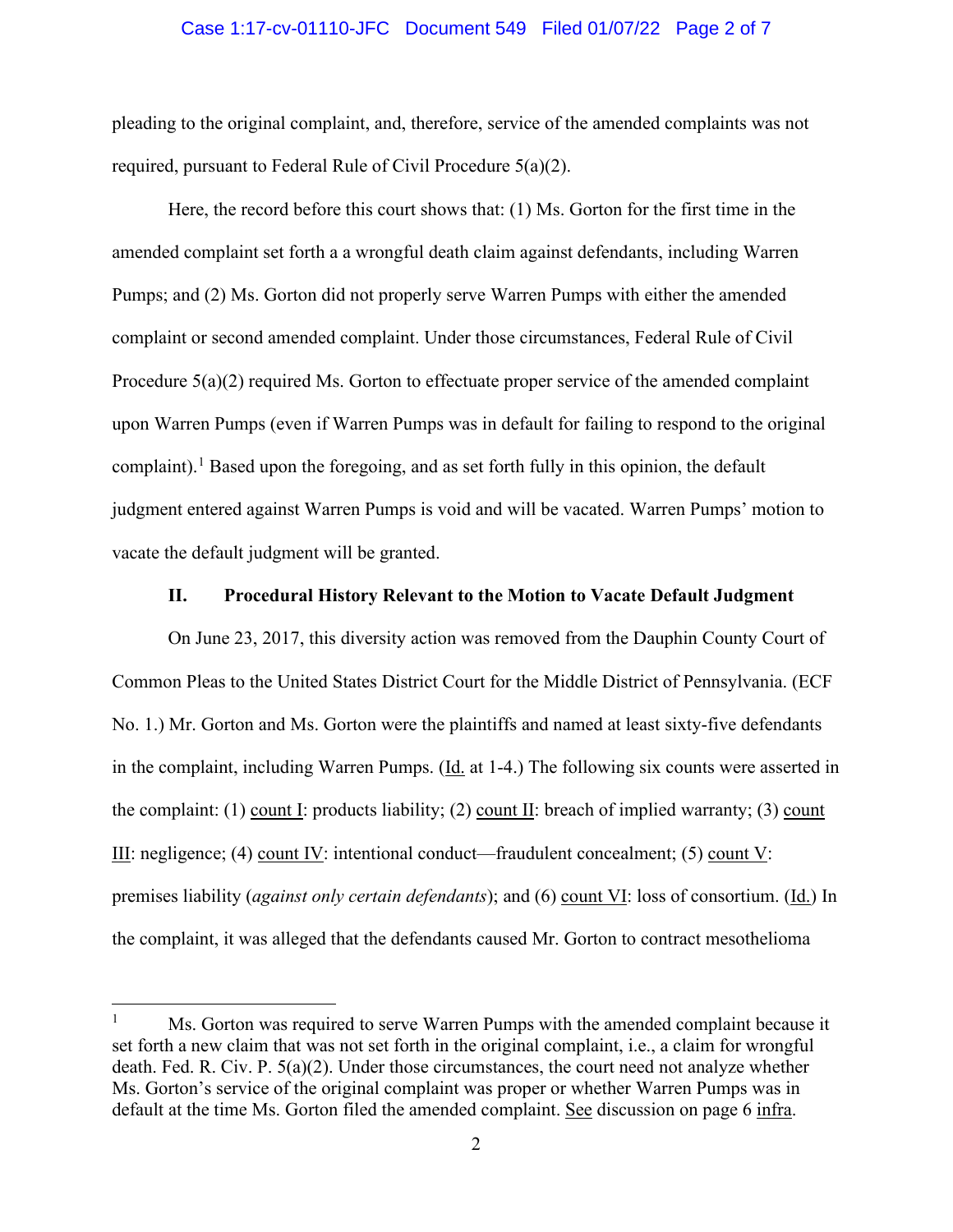#### Case 1:17-cv-01110-JFC Document 549 Filed 01/07/22 Page 2 of 7

pleading to the original complaint, and, therefore, service of the amended complaints was not required, pursuant to Federal Rule of Civil Procedure 5(a)(2).

Here, the record before this court shows that: (1) Ms. Gorton for the first time in the amended complaint set forth a a wrongful death claim against defendants, including Warren Pumps; and (2) Ms. Gorton did not properly serve Warren Pumps with either the amended complaint or second amended complaint. Under those circumstances, Federal Rule of Civil Procedure 5(a)(2) required Ms. Gorton to effectuate proper service of the amended complaint upon Warren Pumps (even if Warren Pumps was in default for failing to respond to the original complaint).<sup>[1](#page-1-0)</sup> Based upon the foregoing, and as set forth fully in this opinion, the default judgment entered against Warren Pumps is void and will be vacated. Warren Pumps' motion to vacate the default judgment will be granted.

## **II. Procedural History Relevant to the Motion to Vacate Default Judgment**

On June 23, 2017, this diversity action was removed from the Dauphin County Court of Common Pleas to the United States District Court for the Middle District of Pennsylvania. (ECF No. 1.) Mr. Gorton and Ms. Gorton were the plaintiffs and named at least sixty-five defendants in the complaint, including Warren Pumps. (Id. at 1-4.) The following six counts were asserted in the complaint: (1) count I: products liability; (2) count II: breach of implied warranty; (3) count III: negligence; (4) count IV: intentional conduct—fraudulent concealment; (5) count V: premises liability (*against only certain defendants*); and (6) count VI: loss of consortium. (Id.) In the complaint, it was alleged that the defendants caused Mr. Gorton to contract mesothelioma

<span id="page-1-0"></span> $1 \text{ Ms. Gorton was required to serve Warren Pumps with the amended complaint because it}$ set forth a new claim that was not set forth in the original complaint, i.e., a claim for wrongful death. Fed. R. Civ. P. 5(a)(2). Under those circumstances, the court need not analyze whether Ms. Gorton's service of the original complaint was proper or whether Warren Pumps was in default at the time Ms. Gorton filed the amended complaint. See discussion on page 6 infra.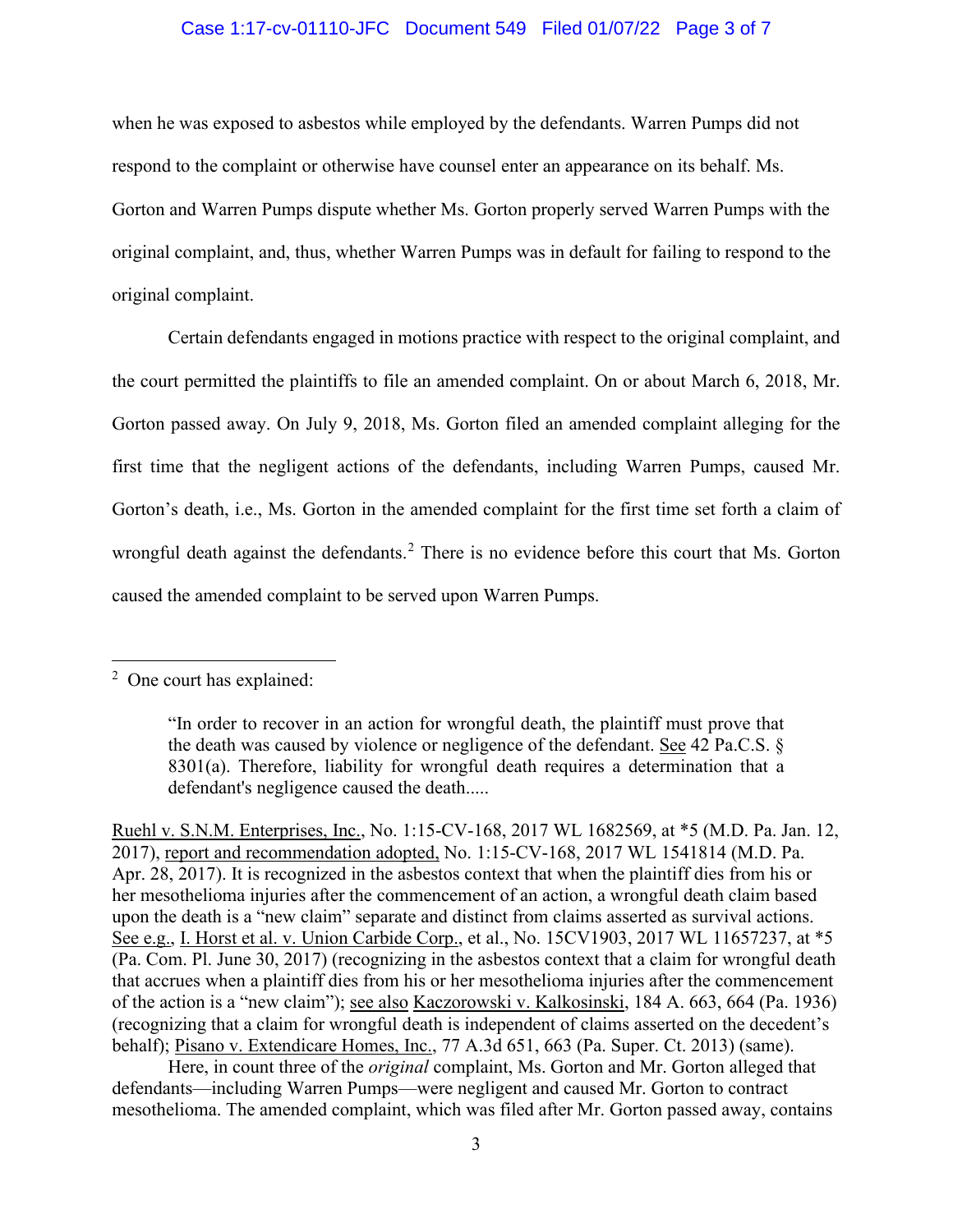## Case 1:17-cv-01110-JFC Document 549 Filed 01/07/22 Page 3 of 7

when he was exposed to asbestos while employed by the defendants. Warren Pumps did not respond to the complaint or otherwise have counsel enter an appearance on its behalf. Ms. Gorton and Warren Pumps dispute whether Ms. Gorton properly served Warren Pumps with the original complaint, and, thus, whether Warren Pumps was in default for failing to respond to the original complaint.

Certain defendants engaged in motions practice with respect to the original complaint, and the court permitted the plaintiffs to file an amended complaint. On or about March 6, 2018, Mr. Gorton passed away. On July 9, 2018, Ms. Gorton filed an amended complaint alleging for the first time that the negligent actions of the defendants, including Warren Pumps, caused Mr. Gorton's death, i.e., Ms. Gorton in the amended complaint for the first time set forth a claim of wrongful death against the defendants.<sup>[2](#page-2-0)</sup> There is no evidence before this court that Ms. Gorton caused the amended complaint to be served upon Warren Pumps.

Here, in count three of the *original* complaint, Ms. Gorton and Mr. Gorton alleged that defendants—including Warren Pumps—were negligent and caused Mr. Gorton to contract mesothelioma. The amended complaint, which was filed after Mr. Gorton passed away, contains

<span id="page-2-0"></span><sup>&</sup>lt;sup>2</sup> One court has explained:

<sup>&</sup>quot;In order to recover in an action for wrongful death, the plaintiff must prove that the death was caused by violence or negligence of the defendant. See 42 Pa.C.S. § 8301(a). Therefore, liability for wrongful death requires a determination that a defendant's negligence caused the death.....

Ruehl v. S.N.M. Enterprises, Inc., No. 1:15-CV-168, 2017 WL 1682569, at \*5 (M.D. Pa. Jan. 12, 2017), report and recommendation adopted, No. 1:15-CV-168, 2017 WL 1541814 (M.D. Pa. Apr. 28, 2017). It is recognized in the asbestos context that when the plaintiff dies from his or her mesothelioma injuries after the commencement of an action, a wrongful death claim based upon the death is a "new claim" separate and distinct from claims asserted as survival actions. See e.g., I. Horst et al. v. Union Carbide Corp., et al., No. 15CV1903, 2017 WL 11657237, at \*5 (Pa. Com. Pl. June 30, 2017) (recognizing in the asbestos context that a claim for wrongful death that accrues when a plaintiff dies from his or her mesothelioma injuries after the commencement of the action is a "new claim"); see also Kaczorowski v. Kalkosinski, 184 A. 663, 664 (Pa. 1936) (recognizing that a claim for wrongful death is independent of claims asserted on the decedent's behalf); Pisano v. Extendicare Homes, Inc., 77 A.3d 651, 663 (Pa. Super. Ct. 2013) (same).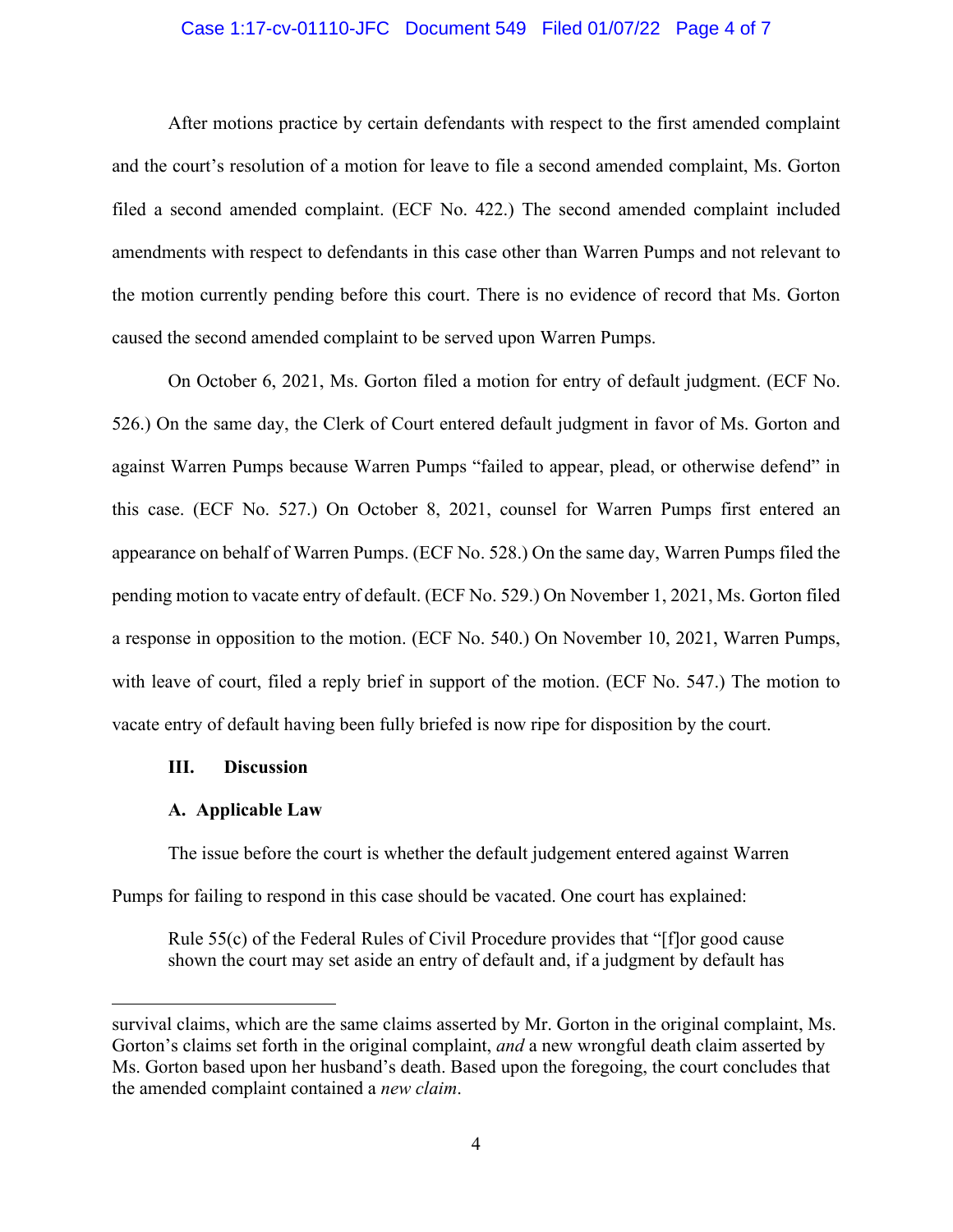## Case 1:17-cv-01110-JFC Document 549 Filed 01/07/22 Page 4 of 7

After motions practice by certain defendants with respect to the first amended complaint and the court's resolution of a motion for leave to file a second amended complaint, Ms. Gorton filed a second amended complaint. (ECF No. 422.) The second amended complaint included amendments with respect to defendants in this case other than Warren Pumps and not relevant to the motion currently pending before this court. There is no evidence of record that Ms. Gorton caused the second amended complaint to be served upon Warren Pumps.

On October 6, 2021, Ms. Gorton filed a motion for entry of default judgment. (ECF No. 526.) On the same day, the Clerk of Court entered default judgment in favor of Ms. Gorton and against Warren Pumps because Warren Pumps "failed to appear, plead, or otherwise defend" in this case. (ECF No. 527.) On October 8, 2021, counsel for Warren Pumps first entered an appearance on behalf of Warren Pumps. (ECF No. 528.) On the same day, Warren Pumps filed the pending motion to vacate entry of default. (ECF No. 529.) On November 1, 2021, Ms. Gorton filed a response in opposition to the motion. (ECF No. 540.) On November 10, 2021, Warren Pumps, with leave of court, filed a reply brief in support of the motion. (ECF No. 547.) The motion to vacate entry of default having been fully briefed is now ripe for disposition by the court.

#### **III. Discussion**

#### **A. Applicable Law**

The issue before the court is whether the default judgement entered against Warren Pumps for failing to respond in this case should be vacated. One court has explained:

Rule 55(c) of the Federal Rules of Civil Procedure provides that "[f]or good cause shown the court may set aside an entry of default and, if a judgment by default has

survival claims, which are the same claims asserted by Mr. Gorton in the original complaint, Ms. Gorton's claims set forth in the original complaint, *and* a new wrongful death claim asserted by Ms. Gorton based upon her husband's death. Based upon the foregoing, the court concludes that the amended complaint contained a *new claim*.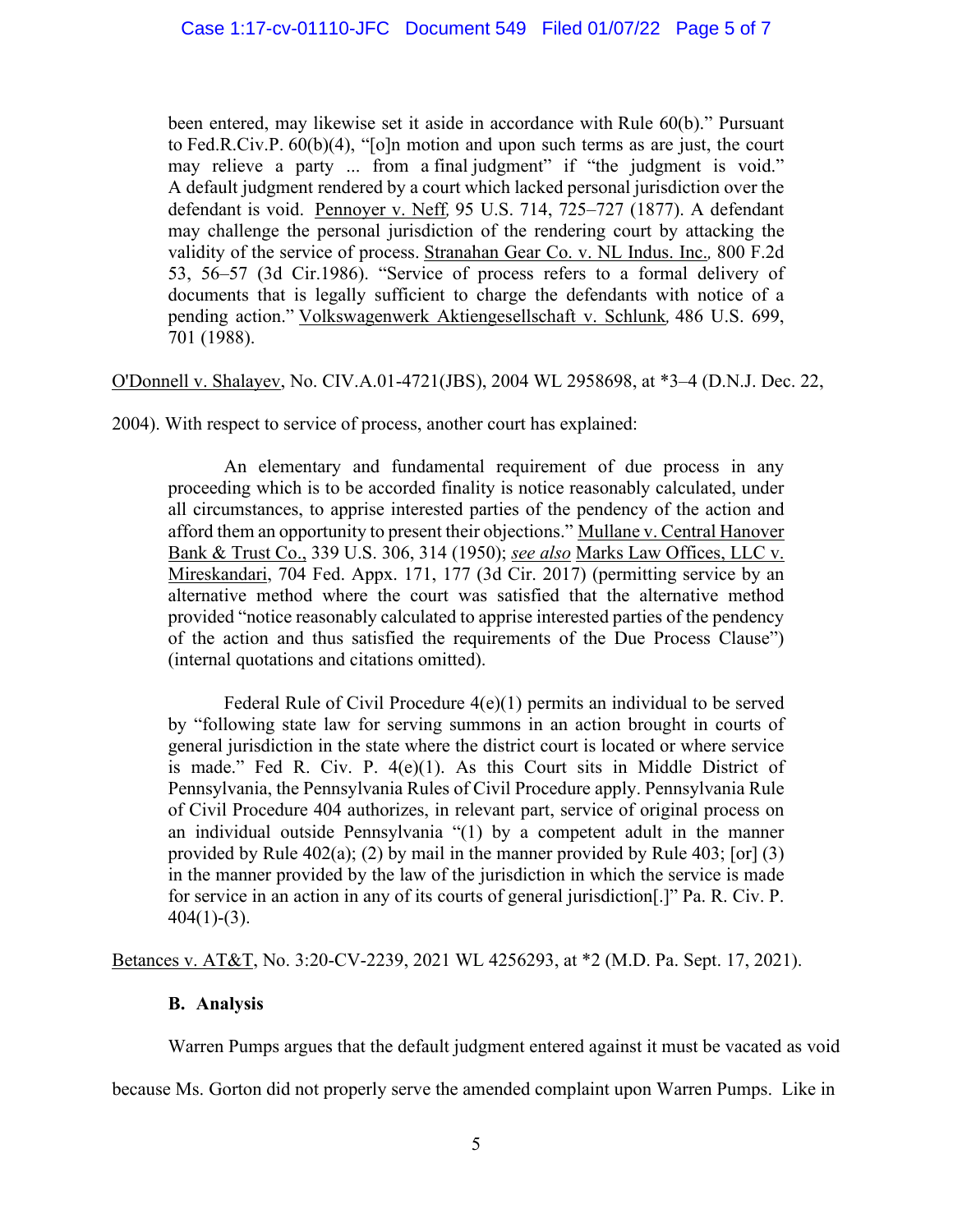been entered, may likewise set it aside in accordance with Rule 60(b)." Pursuant to Fed.R.Civ.P. 60(b)(4), "[o]n motion and upon such terms as are just, the court may relieve a party ... from a final judgment" if "the judgment is void." A default judgment rendered by a court which lacked personal jurisdiction over the defendant is void. Pennoyer v. Neff*,* 95 U.S. 714, 725–727 (1877). A defendant may challenge the personal jurisdiction of the rendering court by attacking the validity of the service of process. Stranahan Gear Co. v. NL Indus. Inc.*,* 800 F.2d 53, 56–57 (3d Cir.1986). "Service of process refers to a formal delivery of documents that is legally sufficient to charge the defendants with notice of a pending action." Volkswagenwerk Aktiengesellschaft v. Schlunk*,* 486 U.S. 699, 701 (1988).

O'Donnell v. Shalayev, No. CIV.A.01-4721(JBS), 2004 WL 2958698, at \*3–4 (D.N.J. Dec. 22,

2004). With respect to service of process, another court has explained:

An elementary and fundamental requirement of due process in any proceeding which is to be accorded finality is notice reasonably calculated, under all circumstances, to apprise interested parties of the pendency of the action and afford them an opportunity to present their objections." Mullane v. Central Hanover Bank & Trust Co., 339 U.S. 306, 314 (1950); *see also* Marks Law Offices, LLC v. Mireskandari, 704 Fed. Appx. 171, 177 (3d Cir. 2017) (permitting service by an alternative method where the court was satisfied that the alternative method provided "notice reasonably calculated to apprise interested parties of the pendency of the action and thus satisfied the requirements of the Due Process Clause") (internal quotations and citations omitted).

Federal Rule of Civil Procedure 4(e)(1) permits an individual to be served by "following state law for serving summons in an action brought in courts of general jurisdiction in the state where the district court is located or where service is made." Fed R. Civ. P. 4(e)(1). As this Court sits in Middle District of Pennsylvania, the Pennsylvania Rules of Civil Procedure apply. Pennsylvania Rule of Civil Procedure 404 authorizes, in relevant part, service of original process on an individual outside Pennsylvania "(1) by a competent adult in the manner provided by Rule 402(a); (2) by mail in the manner provided by Rule 403; [or]  $(3)$ in the manner provided by the law of the jurisdiction in which the service is made for service in an action in any of its courts of general jurisdiction[.]" Pa. R. Civ. P.  $404(1)-(3)$ .

Betances v. AT&T, No. 3:20-CV-2239, 2021 WL 4256293, at \*2 (M.D. Pa. Sept. 17, 2021).

# **B. Analysis**

Warren Pumps argues that the default judgment entered against it must be vacated as void

because Ms. Gorton did not properly serve the amended complaint upon Warren Pumps. Like in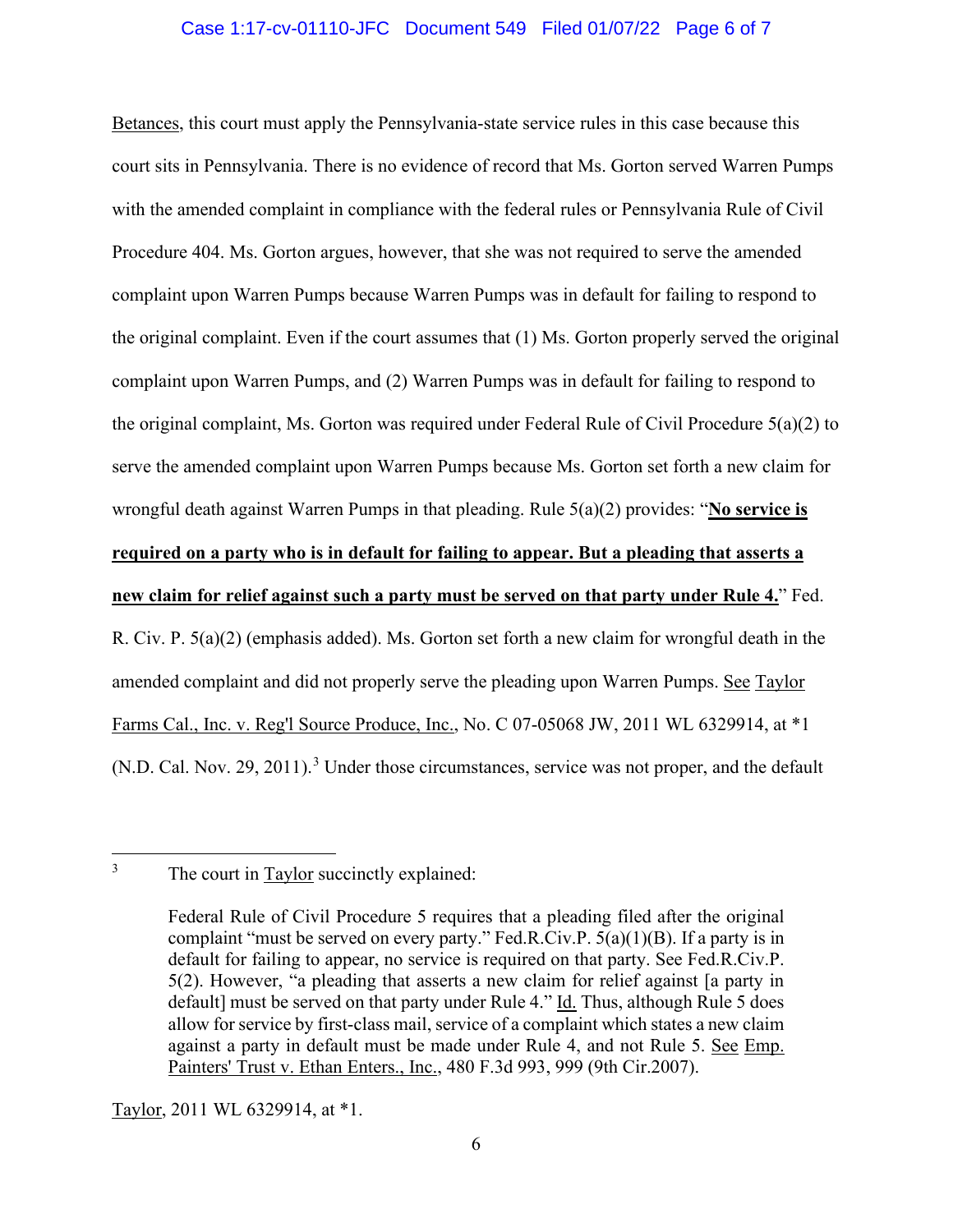## Case 1:17-cv-01110-JFC Document 549 Filed 01/07/22 Page 6 of 7

Betances, this court must apply the Pennsylvania-state service rules in this case because this court sits in Pennsylvania. There is no evidence of record that Ms. Gorton served Warren Pumps with the amended complaint in compliance with the federal rules or Pennsylvania Rule of Civil Procedure 404. Ms. Gorton argues, however, that she was not required to serve the amended complaint upon Warren Pumps because Warren Pumps was in default for failing to respond to the original complaint. Even if the court assumes that (1) Ms. Gorton properly served the original complaint upon Warren Pumps, and (2) Warren Pumps was in default for failing to respond to the original complaint, Ms. Gorton was required under Federal Rule of Civil Procedure 5(a)(2) to serve the amended complaint upon Warren Pumps because Ms. Gorton set forth a new claim for wrongful death against Warren Pumps in that pleading. Rule 5(a)(2) provides: "**No service is required on a party who is in default for failing to appear. But a pleading that asserts a new claim for relief against such a party must be served on that party under Rule 4.**" Fed. R. Civ. P. 5(a)(2) (emphasis added). Ms. Gorton set forth a new claim for wrongful death in the amended complaint and did not properly serve the pleading upon Warren Pumps. See Taylor Farms Cal., Inc. v. Reg'l Source Produce, Inc., No. C 07-05068 JW, 2011 WL 6329914, at \*1 (N.D. Cal. Nov. 29, 2011).<sup>[3](#page-5-0)</sup> Under those circumstances, service was not proper, and the default

Taylor, 2011 WL 6329914, at \*1.

<span id="page-5-0"></span><sup>&</sup>lt;sup>3</sup> The court in Taylor succinctly explained:

Federal Rule of Civil Procedure 5 requires that a pleading filed after the original complaint "must be served on every party." Fed.R.Civ.P.  $5(a)(1)(B)$ . If a party is in default for failing to appear, no service is required on that party. See Fed.R.Civ.P. 5(2). However, "a pleading that asserts a new claim for relief against [a party in default] must be served on that party under Rule 4." Id. Thus, although Rule 5 does allow for service by first-class mail, service of a complaint which states a new claim against a party in default must be made under Rule 4, and not Rule 5. See Emp. Painters' Trust v. Ethan Enters., Inc., 480 F.3d 993, 999 (9th Cir.2007).